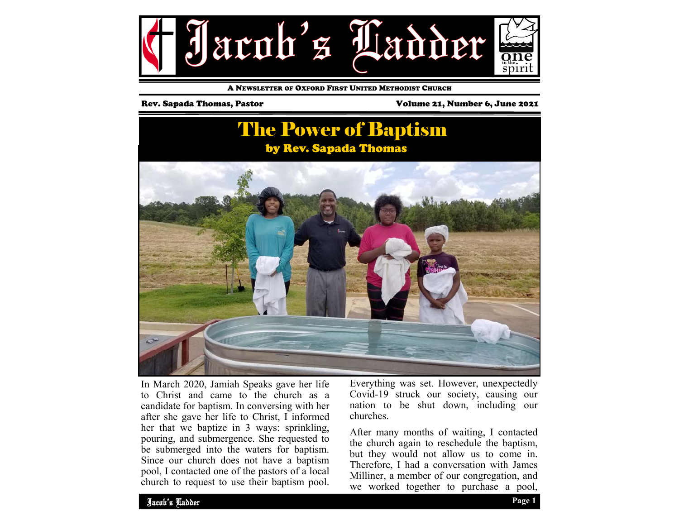

A NEWSLETTER OF OXFORD FIRST UNITED METHODIST CHURCH

Rev. Sapada Thomas, Pastor Volume 21, Number 6, June 2021

### The Power of Baptism by Rev. Sapada Thomas



In March 2020, Jamiah Speaks gave her life to Christ and came to the church as a candidate for baptism. In conversing with her after she gave her life to Christ, I informed her that we baptize in 3 ways: sprinkling, pouring, and submergence. She requested to be submerged into the waters for baptism. Since our church does not have a baptism pool, I contacted one of the pastors of a local church to request to use their baptism pool. Everything was set. However, unexpectedly Covid-19 struck our society, causing our nation to be shut down, including our churches.

After many months of waiting, I contacted the church again to reschedule the baptism, but they would not allow us to come in. Therefore, I had a conversation with James Milliner, a member of our congregation, and we worked together to purchase a pool,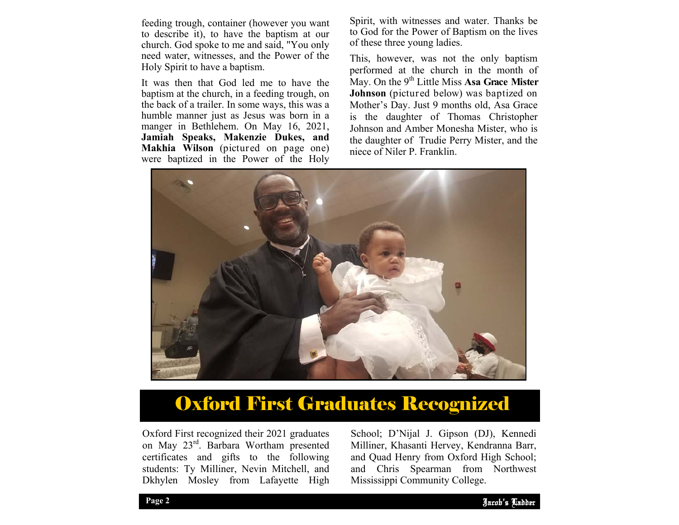feeding trough, container (however you want to describe it), to have the baptism at our church. God spoke to me and said, "You only need water, witnesses, and the Power of the Holy Spirit to have a baptism.

It was then that God led me to have the baptism at the church, in a feeding trough, on the back of a trailer. In some ways, this was a humble manner just as Jesus was born in a manger in Bethlehem. On May 16, 2021, **Jamiah Speaks, Makenzie Dukes, and Makhia Wilson** (pictured on page one) were baptized in the Power of the Holy Spirit, with witnesses and water. Thanks be to God for the Power of Baptism on the lives of these three young ladies.

This, however, was not the only baptism performed at the church in the month of May. On the 9<sup>th</sup> Little Miss Asa Grace Mister **Johnson** (pictured below) was baptized on Mother's Day. Just 9 months old, Asa Grace is the daughter of Thomas Christopher Johnson and Amber Monesha Mister, who is the daughter of Trudie Perry Mister, and the niece of Niler P. Franklin.



## Oxford First Graduates Recognized

Oxford First recognized their 2021 graduates on May 23rd. Barbara Wortham presented certificates and gifts to the following students: Ty Milliner, Nevin Mitchell, and Dkhylen Mosley from Lafayette High

and Quad Henry from Oxford High School; School; D'Nijal J. Gipson (DJ), Kennedi Milliner, Khasanti Hervey, Kendranna Barr, and Chris Spearman from Northwest Mississippi Community College.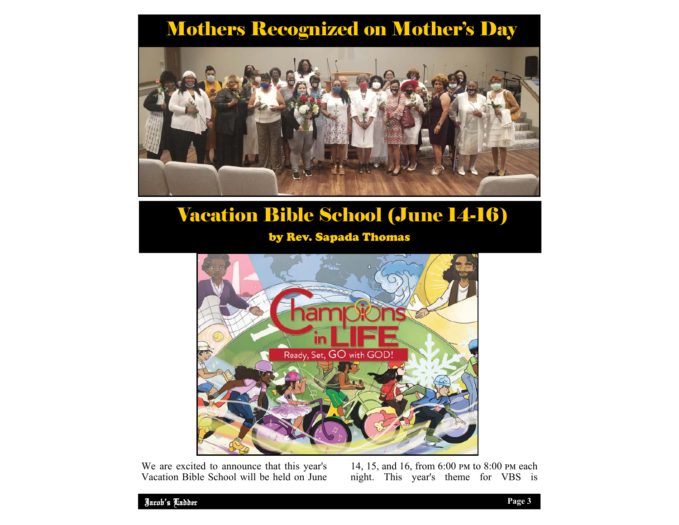# Mothers Recognized on Mother's Day



# Vacation Bible School (June 14-16)

### by Rev. Sapada Thomas



We are excited to announce that this year's Vacation Bible School will be held on June

14, 15, and 16, from 6:00 PM to 8:00 PM each night. This year's theme for VBS is